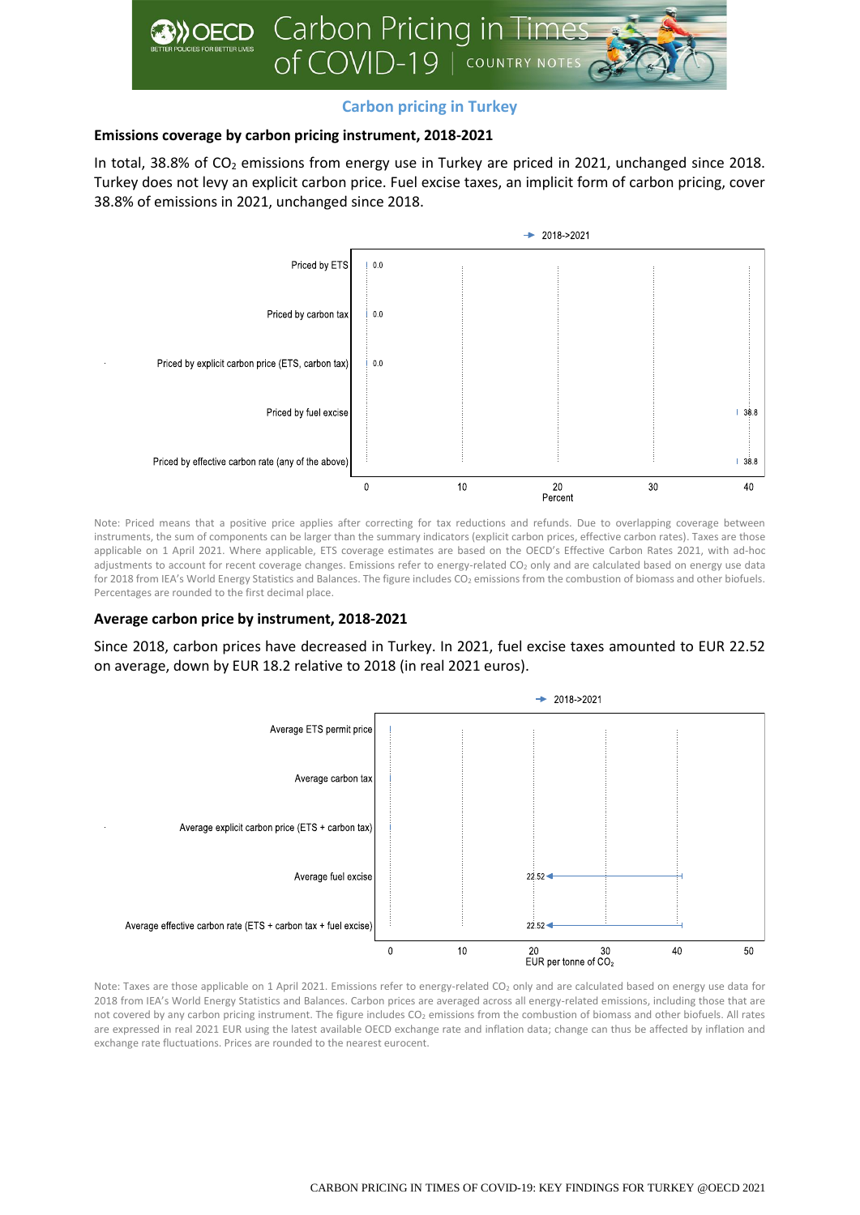

# **Carbon pricing in Turkey**

## **Emissions coverage by carbon pricing instrument, 2018-2021**

In total, 38.8% of  $CO<sub>2</sub>$  emissions from energy use in Turkey are priced in 2021, unchanged since 2018. Turkey does not levy an explicit carbon price. Fuel excise taxes, an implicit form of carbon pricing, cover 38.8% of emissions in 2021, unchanged since 2018.



Note: Priced means that a positive price applies after correcting for tax reductions and refunds. Due to overlapping coverage between instruments, the sum of components can be larger than the summary indicators (explicit carbon prices, effective carbon rates). Taxes are those applicable on 1 April 2021. Where applicable, ETS coverage estimates are based on the OECD's Effective Carbon Rates 2021, with ad-hoc adjustments to account for recent coverage changes. Emissions refer to energy-related CO<sub>2</sub> only and are calculated based on energy use data for 2018 from IEA's World Energy Statistics and Balances. The figure includes CO<sub>2</sub> emissions from the combustion of biomass and other biofuels. Percentages are rounded to the first decimal place.

### **Average carbon price by instrument, 2018-2021**

Since 2018, carbon prices have decreased in Turkey. In 2021, fuel excise taxes amounted to EUR 22.52 on average, down by EUR 18.2 relative to 2018 (in real 2021 euros).



Note: Taxes are those applicable on 1 April 2021. Emissions refer to energy-related CO<sub>2</sub> only and are calculated based on energy use data for 2018 from IEA's World Energy Statistics and Balances. Carbon prices are averaged across all energy-related emissions, including those that are not covered by any carbon pricing instrument. The figure includes CO<sub>2</sub> emissions from the combustion of biomass and other biofuels. All rates are expressed in real 2021 EUR using the latest available OECD exchange rate and inflation data; change can thus be affected by inflation and exchange rate fluctuations. Prices are rounded to the nearest eurocent.